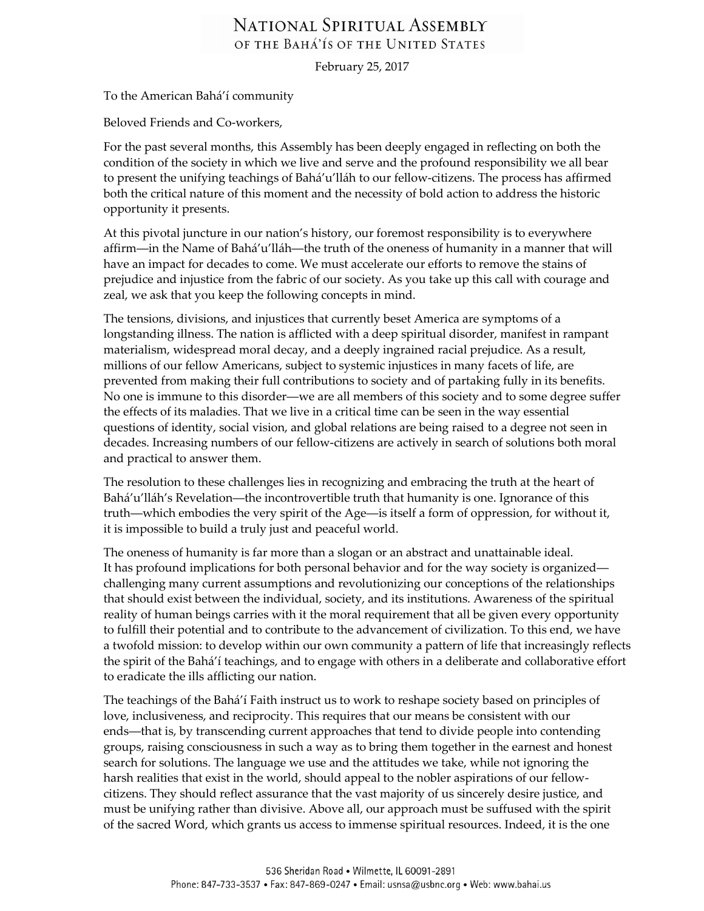## NATIONAL SPIRITUAL ASSEMBLY OF THE BAHA'IS OF THE UNITED STATES

February 25, 2017

To the American Bahá'í community

Beloved Friends and Co-workers,

For the past several months, this Assembly has been deeply engaged in reflecting on both the condition of the society in which we live and serve and the profound responsibility we all bear to present the unifying teachings of Bahá'u'lláh to our fellow-citizens. The process has affirmed both the critical nature of this moment and the necessity of bold action to address the historic opportunity it presents.

At this pivotal juncture in our nation's history, our foremost responsibility is to everywhere affirm—in the Name of Bahá'u'lláh—the truth of the oneness of humanity in a manner that will have an impact for decades to come. We must accelerate our efforts to remove the stains of prejudice and injustice from the fabric of our society. As you take up this call with courage and zeal, we ask that you keep the following concepts in mind.

The tensions, divisions, and injustices that currently beset America are symptoms of a longstanding illness. The nation is afflicted with a deep spiritual disorder, manifest in rampant materialism, widespread moral decay, and a deeply ingrained racial prejudice. As a result, millions of our fellow Americans, subject to systemic injustices in many facets of life, are prevented from making their full contributions to society and of partaking fully in its benefits. No one is immune to this disorder―we are all members of this society and to some degree suffer the effects of its maladies. That we live in a critical time can be seen in the way essential questions of identity, social vision, and global relations are being raised to a degree not seen in decades. Increasing numbers of our fellow-citizens are actively in search of solutions both moral and practical to answer them.

The resolution to these challenges lies in recognizing and embracing the truth at the heart of Bahá'u'lláh's Revelation―the incontrovertible truth that humanity is one. Ignorance of this truth―which embodies the very spirit of the Age―is itself a form of oppression, for without it, it is impossible to build a truly just and peaceful world.

The oneness of humanity is far more than a slogan or an abstract and unattainable ideal. It has profound implications for both personal behavior and for the way society is organized― challenging many current assumptions and revolutionizing our conceptions of the relationships that should exist between the individual, society, and its institutions. Awareness of the spiritual reality of human beings carries with it the moral requirement that all be given every opportunity to fulfill their potential and to contribute to the advancement of civilization. To this end, we have a twofold mission: to develop within our own community a pattern of life that increasingly reflects the spirit of the Bahá'í teachings, and to engage with others in a deliberate and collaborative effort to eradicate the ills afflicting our nation.

The teachings of the Bahá'í Faith instruct us to work to reshape society based on principles of love, inclusiveness, and reciprocity. This requires that our means be consistent with our ends—that is, by transcending current approaches that tend to divide people into contending groups, raising consciousness in such a way as to bring them together in the earnest and honest search for solutions. The language we use and the attitudes we take, while not ignoring the harsh realities that exist in the world, should appeal to the nobler aspirations of our fellowcitizens. They should reflect assurance that the vast majority of us sincerely desire justice, and must be unifying rather than divisive. Above all, our approach must be suffused with the spirit of the sacred Word, which grants us access to immense spiritual resources. Indeed, it is the one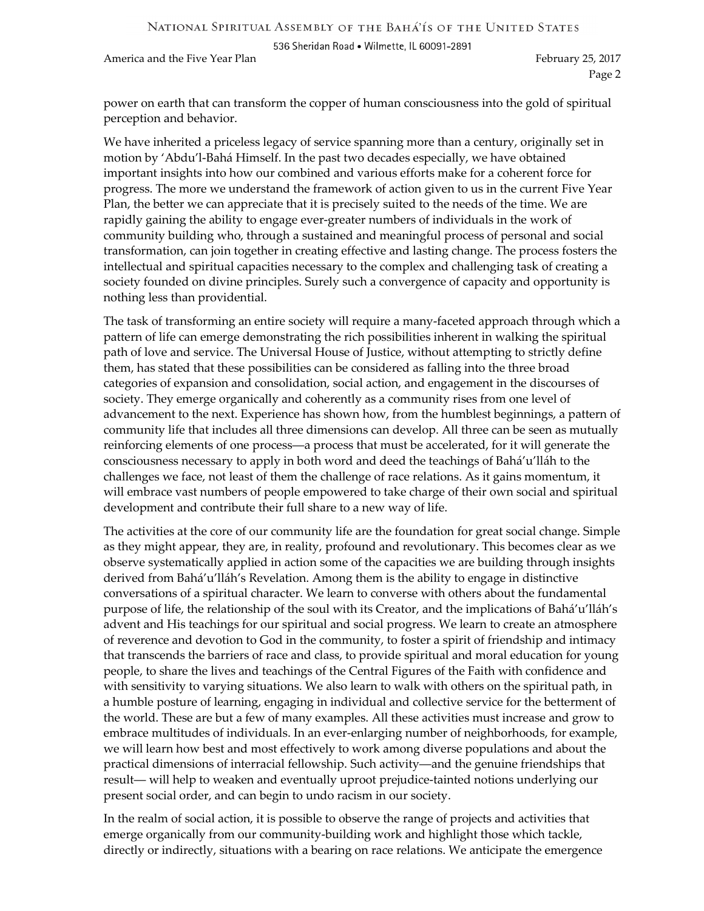NATIONAL SPIRITUAL ASSEMBLY OF THE BAHA'IS OF THE UNITED STATES

536 Sheridan Road . Wilmette, IL 60091-2891

America and the Five Year Plan February 25, 2017

Page 2

power on earth that can transform the copper of human consciousness into the gold of spiritual perception and behavior.

We have inherited a priceless legacy of service spanning more than a century, originally set in motion by 'Abdu'l-Bahá Himself. In the past two decades especially, we have obtained important insights into how our combined and various efforts make for a coherent force for progress. The more we understand the framework of action given to us in the current Five Year Plan, the better we can appreciate that it is precisely suited to the needs of the time. We are rapidly gaining the ability to engage ever-greater numbers of individuals in the work of community building who, through a sustained and meaningful process of personal and social transformation, can join together in creating effective and lasting change. The process fosters the intellectual and spiritual capacities necessary to the complex and challenging task of creating a society founded on divine principles. Surely such a convergence of capacity and opportunity is nothing less than providential.

The task of transforming an entire society will require a many-faceted approach through which a pattern of life can emerge demonstrating the rich possibilities inherent in walking the spiritual path of love and service. The Universal House of Justice, without attempting to strictly define them, has stated that these possibilities can be considered as falling into the three broad categories of expansion and consolidation, social action, and engagement in the discourses of society. They emerge organically and coherently as a community rises from one level of advancement to the next. Experience has shown how, from the humblest beginnings, a pattern of community life that includes all three dimensions can develop. All three can be seen as mutually reinforcing elements of one process―a process that must be accelerated, for it will generate the consciousness necessary to apply in both word and deed the teachings of Bahá'u'lláh to the challenges we face, not least of them the challenge of race relations. As it gains momentum, it will embrace vast numbers of people empowered to take charge of their own social and spiritual development and contribute their full share to a new way of life.

The activities at the core of our community life are the foundation for great social change. Simple as they might appear, they are, in reality, profound and revolutionary. This becomes clear as we observe systematically applied in action some of the capacities we are building through insights derived from Bahá'u'lláh's Revelation. Among them is the ability to engage in distinctive conversations of a spiritual character. We learn to converse with others about the fundamental purpose of life, the relationship of the soul with its Creator, and the implications of Bahá'u'lláh's advent and His teachings for our spiritual and social progress. We learn to create an atmosphere of reverence and devotion to God in the community, to foster a spirit of friendship and intimacy that transcends the barriers of race and class, to provide spiritual and moral education for young people, to share the lives and teachings of the Central Figures of the Faith with confidence and with sensitivity to varying situations. We also learn to walk with others on the spiritual path, in a humble posture of learning, engaging in individual and collective service for the betterment of the world. These are but a few of many examples. All these activities must increase and grow to embrace multitudes of individuals. In an ever-enlarging number of neighborhoods, for example, we will learn how best and most effectively to work among diverse populations and about the practical dimensions of interracial fellowship. Such activity―and the genuine friendships that result― will help to weaken and eventually uproot prejudice-tainted notions underlying our present social order, and can begin to undo racism in our society.

In the realm of social action, it is possible to observe the range of projects and activities that emerge organically from our community-building work and highlight those which tackle, directly or indirectly, situations with a bearing on race relations. We anticipate the emergence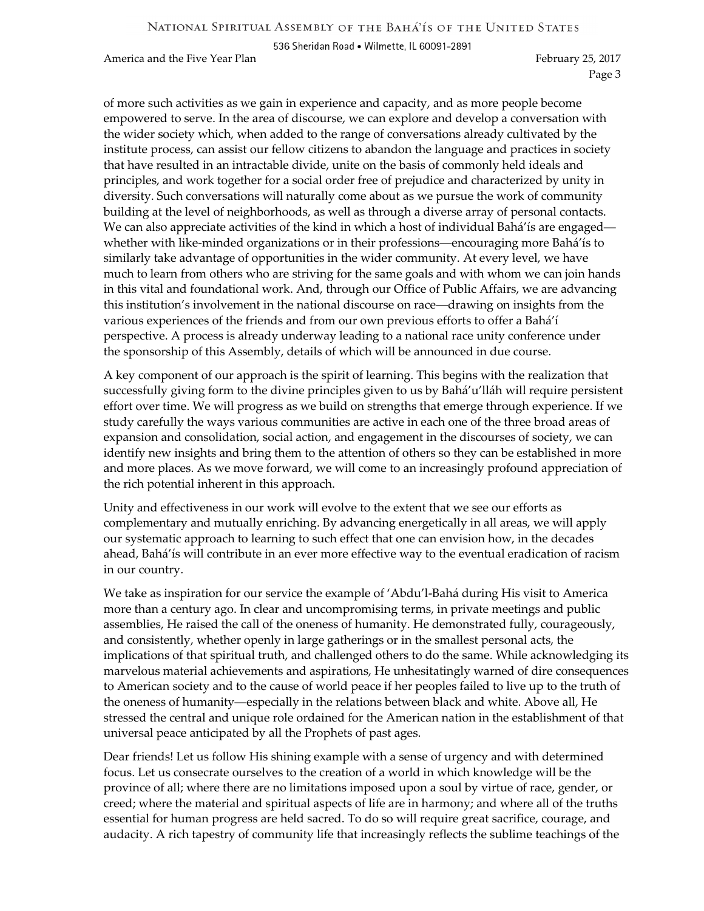536 Sheridan Road . Wilmette, IL 60091-2891

America and the Five Year Plan February 25, 2017

Page 3

of more such activities as we gain in experience and capacity, and as more people become empowered to serve. In the area of discourse, we can explore and develop a conversation with the wider society which, when added to the range of conversations already cultivated by the institute process, can assist our fellow citizens to abandon the language and practices in society that have resulted in an intractable divide, unite on the basis of commonly held ideals and principles, and work together for a social order free of prejudice and characterized by unity in diversity. Such conversations will naturally come about as we pursue the work of community building at the level of neighborhoods, as well as through a diverse array of personal contacts. We can also appreciate activities of the kind in which a host of individual Bahá'ís are engaged whether with like-minded organizations or in their professions—encouraging more Bahá'ís to similarly take advantage of opportunities in the wider community. At every level, we have much to learn from others who are striving for the same goals and with whom we can join hands in this vital and foundational work. And, through our Office of Public Affairs, we are advancing this institution's involvement in the national discourse on race―drawing on insights from the various experiences of the friends and from our own previous efforts to offer a Bahá'í perspective. A process is already underway leading to a national race unity conference under the sponsorship of this Assembly, details of which will be announced in due course.

A key component of our approach is the spirit of learning. This begins with the realization that successfully giving form to the divine principles given to us by Bahá'u'lláh will require persistent effort over time. We will progress as we build on strengths that emerge through experience. If we study carefully the ways various communities are active in each one of the three broad areas of expansion and consolidation, social action, and engagement in the discourses of society, we can identify new insights and bring them to the attention of others so they can be established in more and more places. As we move forward, we will come to an increasingly profound appreciation of the rich potential inherent in this approach.

Unity and effectiveness in our work will evolve to the extent that we see our efforts as complementary and mutually enriching. By advancing energetically in all areas, we will apply our systematic approach to learning to such effect that one can envision how, in the decades ahead, Bahá'ís will contribute in an ever more effective way to the eventual eradication of racism in our country.

We take as inspiration for our service the example of 'Abdu'l-Bahá during His visit to America more than a century ago. In clear and uncompromising terms, in private meetings and public assemblies, He raised the call of the oneness of humanity. He demonstrated fully, courageously, and consistently, whether openly in large gatherings or in the smallest personal acts, the implications of that spiritual truth, and challenged others to do the same. While acknowledging its marvelous material achievements and aspirations, He unhesitatingly warned of dire consequences to American society and to the cause of world peace if her peoples failed to live up to the truth of the oneness of humanity―especially in the relations between black and white. Above all, He stressed the central and unique role ordained for the American nation in the establishment of that universal peace anticipated by all the Prophets of past ages.

Dear friends! Let us follow His shining example with a sense of urgency and with determined focus. Let us consecrate ourselves to the creation of a world in which knowledge will be the province of all; where there are no limitations imposed upon a soul by virtue of race, gender, or creed; where the material and spiritual aspects of life are in harmony; and where all of the truths essential for human progress are held sacred. To do so will require great sacrifice, courage, and audacity. A rich tapestry of community life that increasingly reflects the sublime teachings of the